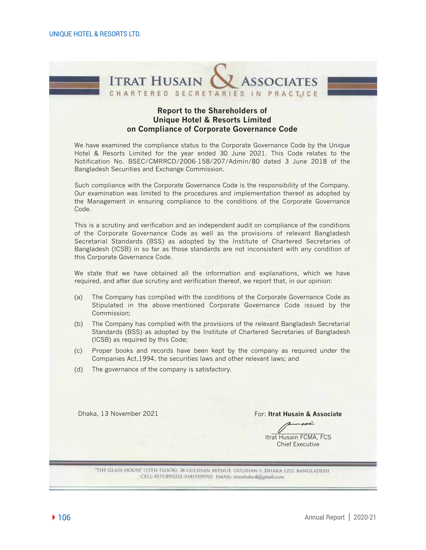

#### **Report to the Shareholders of Unique Hotel & Resorts Limited on Compliance of Corporate Governance Code**

We have examined the compliance status to the Corporate Governance Code by the Unique Hotel & Resorts Limited for the year ended 30 June 2021. This Code relates to the Notification No. BSEC/CMRRCD/2006-158/207/Admin/80 dated 3 June 2018 of the Bangladesh Securities and Exchange Commission.

Such compliance with the Corporate Governance Code is the responsibility of the Company. Our examination was limited to the procedures and implementation thereof as adopted by the Management in ensuring compliance to the conditions of the Corporate Governance Code.

This is a scrutiny and verification and an independent audit on compliance of the conditions of the Corporate Governance Code as well as the provisions of relevant Bangladesh Secretarial Standards (BSS) as adopted by the Institute of Chartered Secretaries of Bangladesh (ICSB) in so far as those standards are not inconsistent with any condition of this Corporate Governance Code.

We state that we have obtained all the information and explanations, which we have required, and after due scrutiny and verification thereof, we report that, in our opinion:

- (a) The Company has complied with the conditions of the Corporate Governance Code as Stipulated in the above-mentioned Corporate Governance Code issued by the Commission;
- (b) The Company has complied with the provisions of the relevant Bangladesh Secretarial Standards (BSS) as adopted by the Institute of Chartered Secretaries of Bangladesh (ICSB) as required by this Code;
- (c) Proper books and records have been kept by the company as required under the Companies Act,1994, the securities laws and other relevant laws; and
- (d) The governance of the company is satisfactory.

Dhaka, 13 November 2021 **Formulate Except Associate** For: **Itrat Husain & Associate** 

Itrat Husain FCMA, FCS Chief Executive

"THE GLASS HOUSE" (13TH FLOOR), 38 GULSHAN AVENUE, GULSHAN-1, DHAKA-1212. BANGLADESH CELL: 01713092222. 01819259703 EMAIL: itratshahed@gmail.com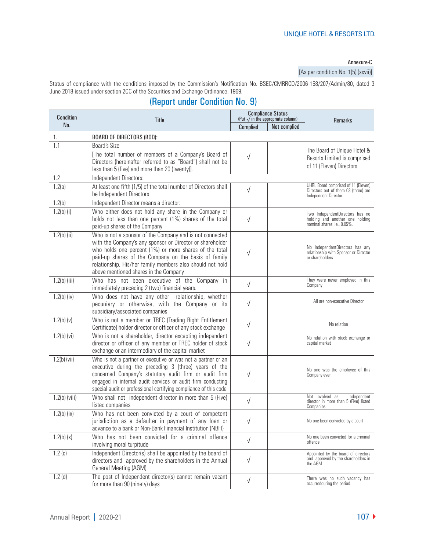#### Annexure-C

[As per condition No. 1(5) (xxvii)]

Status of compliance with the conditions imposed by the Commission's Notification No. BSEC/CMRRCD/2006-158/207/Admin/80, dated 3 June 2018 issued under section 2CC of the Securities and Exchange Ordinance, 1969.

# (Report under Condition No. 9)

| Condition       | Title                                                                                                                                                                                                                                                                                                                                         | <b>Compliance Status</b><br>(Put $\sqrt{ }$ in the appropriate column) |              | <b>Remarks</b>                                                                                       |  |
|-----------------|-----------------------------------------------------------------------------------------------------------------------------------------------------------------------------------------------------------------------------------------------------------------------------------------------------------------------------------------------|------------------------------------------------------------------------|--------------|------------------------------------------------------------------------------------------------------|--|
| No.             |                                                                                                                                                                                                                                                                                                                                               | Complied                                                               | Not complied |                                                                                                      |  |
| 1.              | <b>BOARD OF DIRECTORS (BOD):</b>                                                                                                                                                                                                                                                                                                              |                                                                        |              |                                                                                                      |  |
| 1.1             | Board's Size<br>[The total number of members of a Company's Board of<br>Directors (hereinafter referred to as "Board") shall not be<br>less than 5 (five) and more than 20 (twenty)].                                                                                                                                                         | $\sqrt{}$                                                              |              | The Board of Unique Hotel &<br>Resorts Limited is comprised<br>of 11 (Eleven) Directors.             |  |
| 1.2             | Independent Directors:                                                                                                                                                                                                                                                                                                                        |                                                                        |              |                                                                                                      |  |
| 1.2(a)          | At least one fifth (1/5) of the total number of Directors shall<br>be Independent Directors                                                                                                                                                                                                                                                   | $\sqrt{}$                                                              |              | UHRL Board comprised of 11 (Eleven)<br>Directors out of them 03 (three) are<br>Independent Director. |  |
| 1.2(b)          | Independent Director means a director:                                                                                                                                                                                                                                                                                                        |                                                                        |              |                                                                                                      |  |
| $1.2(b)$ (i)    | Who either does not hold any share in the Company or<br>holds not less than one percent (1%) shares of the total<br>paid-up shares of the Company                                                                                                                                                                                             | $\sqrt{}$                                                              |              | Two IndependentDirectors has no<br>holding and another one holding<br>nominal shares i.e., 0.05%.    |  |
| $1.2(b)$ (ii)   | Who is not a sponsor of the Company and is not connected<br>with the Company's any sponsor or Director or shareholder<br>who holds one percent (1%) or more shares of the total<br>paid-up shares of the Company on the basis of family<br>relationship. His/her family members also should not hold<br>above mentioned shares in the Company | $\sqrt{}$                                                              |              | No IndependentDirectors has any<br>relationship with Sponsor or Director<br>or shareholders          |  |
| $1.2(b)$ (iii)  | Who has not been executive of the Company in<br>immediately preceding 2 (two) financial years.                                                                                                                                                                                                                                                | $\sqrt{}$                                                              |              | They were never employed in this<br>Company                                                          |  |
| $1.2(b)$ (iv)   | Who does not have any other relationship, whether<br>pecuniary or otherwise, with the Company or its<br>subsidiary/associated companies                                                                                                                                                                                                       | $\sqrt{}$                                                              |              | All are non-executive Director                                                                       |  |
| 1.2(b) (v)      | Who is not a member or TREC (Trading Right Entitlement<br>Certificate) holder director or officer of any stock exchange                                                                                                                                                                                                                       | $\sqrt{ }$                                                             |              | No relation                                                                                          |  |
| $1.2(b)$ (vi)   | Who is not a shareholder, director excepting independent<br>director or officer of any member or TREC holder of stock<br>exchange or an intermediary of the capital market                                                                                                                                                                    | $\sqrt{}$                                                              |              | No relation with stock exchange or<br>capital market                                                 |  |
| $1.2(b)$ (vii)  | Who is not a partner or executive or was not a partner or an<br>executive during the preceding 3 (three) years of the<br>concerned Company's statutory audit firm or audit firm<br>engaged in internal audit services or audit firm conducting<br>special audit or professional certifying compliance of this code                            | $\sqrt{}$                                                              |              | No one was the employee of this<br>Company ever                                                      |  |
| $1.2(b)$ (viii) | Who shall not independent director in more than 5 (Five)<br>listed companies                                                                                                                                                                                                                                                                  | $\sqrt{}$                                                              |              | Not involved as<br>independent<br>director in more than 5 (Five) listed<br>Companies                 |  |
| $1.2(b)$ (ix)   | Who has not been convicted by a court of competent<br>jurisdiction as a defaulter in payment of any loan or<br>advance to a bank or Non-Bank Financial Institution (NBFI)                                                                                                                                                                     | $\sqrt{}$                                                              |              | No one been convicted by a court                                                                     |  |
| 1.2(b) (x)      | Who has not been convicted for a criminal offence<br>involving moral turpitude                                                                                                                                                                                                                                                                | $\sqrt{ }$                                                             |              | No one been convicted for a criminal<br>offence                                                      |  |
| 1.2(c)          | Independent Director(s) shall be appointed by the board of<br>directors and approved by the shareholders in the Annual<br><b>General Meeting (AGM)</b>                                                                                                                                                                                        | $\sqrt{ }$                                                             |              | Appointed by the board of directors<br>and approved by the shareholders in<br>the AGM                |  |
| 1.2(d)          | The post of Independent director(s) cannot remain vacant<br>for more than 90 (ninety) days                                                                                                                                                                                                                                                    | $\sqrt{ }$                                                             |              | There was no such vacancy has<br>occurredduring the period.                                          |  |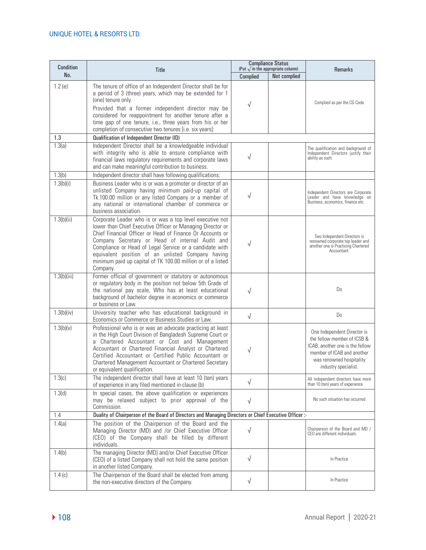| <b>Condition</b> | Title                                                                                                                                                                                                                                                                                                                                                                                                                             | <b>Compliance Status</b><br>(Put $\sqrt{ }$ in the appropriate column) |              | <b>Remarks</b>                                                                                                                                                                  |
|------------------|-----------------------------------------------------------------------------------------------------------------------------------------------------------------------------------------------------------------------------------------------------------------------------------------------------------------------------------------------------------------------------------------------------------------------------------|------------------------------------------------------------------------|--------------|---------------------------------------------------------------------------------------------------------------------------------------------------------------------------------|
| No.              |                                                                                                                                                                                                                                                                                                                                                                                                                                   | Complied                                                               | Not complied |                                                                                                                                                                                 |
| 1.2(e)           | The tenure of office of an Independent Director shall be for<br>a period of 3 (three) years, which may be extended for 1<br>(one) tenure only.<br>Provided that a former independent director may be<br>considered for reappointment for another tenure after a<br>time gap of one tenure, i.e., three years from his or her<br>completion of consecutive two tenures [i.e. six years]:                                           | $\sqrt{}$                                                              |              | Complied as per the CG Code                                                                                                                                                     |
| 1.3              | Qualification of Independent Director (ID)                                                                                                                                                                                                                                                                                                                                                                                        |                                                                        |              |                                                                                                                                                                                 |
| 1.3(a)           | Independent Director shall be a knowledgeable individual<br>with integrity who is able to ensure compliance with<br>financial laws regulatory requirements and corporate laws<br>and can make meaningful contribution to business.                                                                                                                                                                                                | √                                                                      |              | The qualification and background of<br>Independent Directors justify their<br>ability as such.                                                                                  |
| 1.3(b)           | Independent director shall have following qualifications:                                                                                                                                                                                                                                                                                                                                                                         |                                                                        |              |                                                                                                                                                                                 |
| 1.3(b)(i)        | Business Leader who is or was a promoter or director of an<br>unlisted Company having minimum paid-up capital of<br>Tk.100.00 million or any listed Company or a member of<br>any national or international chamber of commerce or<br>business association.                                                                                                                                                                       | $\sqrt{}$                                                              |              | Independent Directors are Corporate<br>Leader and have knowledge on<br>Business, economics, finance etc.                                                                        |
| 1.3(b)(ii)       | Corporate Leader who is or was a top level executive not<br>lower than Chief Executive Officer or Managing Director or<br>Chief Financial Officer or Head of Finance Or Accounts or<br>Company Secretary or Head of internal Audit and<br>Compliance or Head of Legal Service or a candidate with<br>equivalent position of an unlisted Company having<br>minimum paid up capital of TK 100.00 million or of a listed<br>Company. | √                                                                      |              | Two Independent Directors is<br>renowned corporate top leader and<br>another one is Practicing Chartered<br>Accountant.                                                         |
| 1.3(b)(iii)      | Former official of government or statutory or autonomous<br>or regulatory body in the position not below 5th Grade of<br>the national pay scale, Who has at least educational<br>background of bachelor degree in economics or commerce<br>or business or Law.                                                                                                                                                                    | $\sqrt{}$                                                              |              | Do                                                                                                                                                                              |
| 1.3(b)(iv)       | University teacher who has educational background in<br>Economics or Commerce or Business Studies or Law.                                                                                                                                                                                                                                                                                                                         | $\sqrt{ }$                                                             |              | Do                                                                                                                                                                              |
| 1.3(b)(v)        | Professional who is or was an advocate practicing at least<br>in the High Court Division of Bangladesh Supreme Court or<br>a Chartered Accountant or Cost and Management<br>Accountant or Chartered Financial Analyst or Chartered<br>Certified Accountant or Certified Public Accountant or<br>Chartered Management Accountant or Chartered Secretary<br>or equivalent qualification.                                            | $\sqrt{}$                                                              |              | One Independent Director is<br>the fellow member of ICSB &<br>ICAB, another one is the fellow<br>member of ICAB and another<br>was renowned hospitality<br>industry specialist. |
| 1.3(c)           | The independent director shall have at least 10 (ten) years<br>of experience in any filed mentioned in clause (b)                                                                                                                                                                                                                                                                                                                 | $\sqrt{ }$                                                             |              | All independent directors have more<br>than 10 (ten) years of experience                                                                                                        |
| 1.3(d)           | In special cases, the above qualification or experiences<br>may be relaxed subject to prior approval of the<br>Commission.                                                                                                                                                                                                                                                                                                        | $\sqrt{ }$                                                             |              | No such situation has occurred                                                                                                                                                  |
| 1.4              | Duality of Chairperson of the Board of Directors and Managing Directors or Chief Executive Officer :-                                                                                                                                                                                                                                                                                                                             |                                                                        |              |                                                                                                                                                                                 |
| 1.4(a)           | The position of the Chairperson of the Board and the<br>Managing Director (MD) and /or Chief Executive Officer<br>(CEO) of the Company shall be filled by different<br>individuals.                                                                                                                                                                                                                                               | $\sqrt{ }$                                                             |              | Chairperson of the Board and MD /<br>CEO are different individuals.                                                                                                             |
| 1.4(b)           | The managing Director (MD) and/or Chief Executive Officer<br>(CEO) of a listed Company shall not hold the same position<br>in another listed Company.                                                                                                                                                                                                                                                                             | $\sqrt{ }$                                                             |              | In Practice                                                                                                                                                                     |
| 1.4(c)           | The Chairperson of the Board shall be elected from among<br>the non-executive directors of the Company.                                                                                                                                                                                                                                                                                                                           | $\sqrt{ }$                                                             |              | In Practice                                                                                                                                                                     |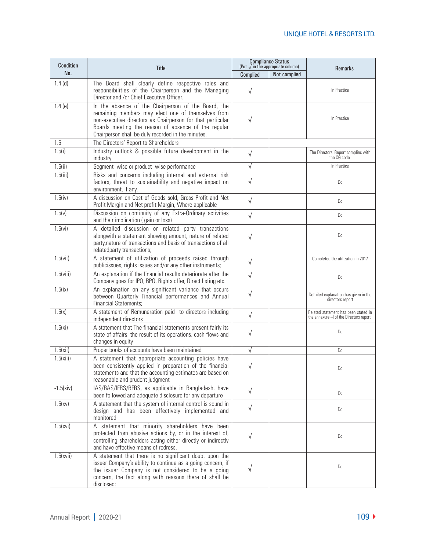| Condition   | <b>Title</b>                                                                                                                                                                                                                                                                         | <b>Compliance Status</b><br>(Put $\sqrt{ }$ in the appropriate column) |              |                                                                                |
|-------------|--------------------------------------------------------------------------------------------------------------------------------------------------------------------------------------------------------------------------------------------------------------------------------------|------------------------------------------------------------------------|--------------|--------------------------------------------------------------------------------|
| No.         |                                                                                                                                                                                                                                                                                      | Complied                                                               | Not complied | <b>Remarks</b>                                                                 |
| $1.4$ (d)   | The Board shall clearly define respective roles and<br>responsibilities of the Chairperson and the Managing<br>Director and /or Chief Executive Officer.                                                                                                                             | $\sqrt{ }$                                                             |              | In Practice                                                                    |
| 1.4(e)      | In the absence of the Chairperson of the Board, the<br>remaining members may elect one of themselves from<br>non-executive directors as Chairperson for that particular<br>Boards meeting the reason of absence of the regular<br>Chairperson shall be duly recorded in the minutes. | $\sqrt{}$                                                              |              | In Practice                                                                    |
| 1.5         | The Directors' Report to Shareholders                                                                                                                                                                                                                                                |                                                                        |              |                                                                                |
| 1.5(i)      | Industry outlook & possible future development in the<br>industry                                                                                                                                                                                                                    | $\sqrt{ }$                                                             |              | The Directors' Report complies with<br>the CG code.                            |
| 1.5(ii)     | Segment- wise or product- wise performance                                                                                                                                                                                                                                           | $\sqrt{}$                                                              |              | In Practice                                                                    |
| 1.5(iii)    | Risks and concerns including internal and external risk<br>factors, threat to sustainability and negative impact on<br>environment, if any.                                                                                                                                          | √                                                                      |              | Do                                                                             |
| 1.5(iv)     | A discussion on Cost of Goods sold, Gross Profit and Net<br>Profit Margin and Net profit Margin, Where applicable                                                                                                                                                                    | $\sqrt{ }$                                                             |              | Do                                                                             |
| 1.5(v)      | Discussion on continuity of any Extra-Ordinary activities<br>and their implication (gain or loss)                                                                                                                                                                                    | $\sqrt{ }$                                                             |              | Do                                                                             |
| 1.5(vi)     | A detailed discussion on related party transactions<br>alongwith a statement showing amount, nature of related<br>party, nature of transactions and basis of transactions of all<br>relatedparty transactions;                                                                       | $\sqrt{ }$                                                             |              | Do                                                                             |
| 1.5(vii)    | A statement of utilization of proceeds raised through<br>publicissues, rights issues and/or any other instruments;                                                                                                                                                                   | $\sqrt{ }$                                                             |              | Completed the utilization in 2017                                              |
| 1.5(viii)   | An explanation if the financial results deteriorate after the<br>Company goes for IPO, RPO, Rights offer, Direct listing etc.                                                                                                                                                        | $\sqrt{ }$                                                             |              | Do                                                                             |
| 1.5(ix)     | An explanation on any significant variance that occurs<br>between Quarterly Financial performances and Annual<br><b>Financial Statements;</b>                                                                                                                                        | √                                                                      |              | Detailed explanation has given in the<br>directors report                      |
| 1.5(x)      | A statement of Remuneration paid to directors including<br>independent directors                                                                                                                                                                                                     | $\sqrt{ }$                                                             |              | Related statement has been stated in<br>the annexure - of the Directors report |
| 1.5(x)      | A statement that The financial statements present fairly its<br>state of affairs, the result of its operations, cash flows and<br>changes in equity                                                                                                                                  | $\sqrt{ }$                                                             |              | Do                                                                             |
| 1.5(xii)    | Proper books of accounts have been maintained                                                                                                                                                                                                                                        | $\sqrt{}$                                                              |              | Do                                                                             |
| 1.5(xiii)   | A statement that appropriate accounting policies have<br>been consistently applied in preparation of the financial<br>statements and that the accounting estimates are based on<br>reasonable and prudent judgment                                                                   | $\sqrt{ }$                                                             |              | Do                                                                             |
| $-1.5(xiv)$ | IAS/BAS/IFRS/BFRS, as applicable in Bangladesh, have<br>been followed and adequate disclosure for any departure                                                                                                                                                                      | $\sqrt{ }$                                                             |              | Do                                                                             |
| 1.5(xv)     | A statement that the system of internal control is sound in<br>design and has been effectively implemented and<br>monitored                                                                                                                                                          | $\sqrt{ }$                                                             |              | Do                                                                             |
| 1.5(xvi)    | A statement that minority shareholders have been<br>protected from abusive actions by, or in the interest of,<br>controlling shareholders acting either directly or indirectly<br>and have effective means of redress.                                                               | $\sqrt{ }$                                                             |              | Do                                                                             |
| 1.5(xvii)   | A statement that there is no significant doubt upon the<br>issuer Company's ability to continue as a going concern, if<br>the issuer Company is not considered to be a going<br>concern, the fact along with reasons there of shall be<br>disclosed;                                 | √                                                                      |              | Do                                                                             |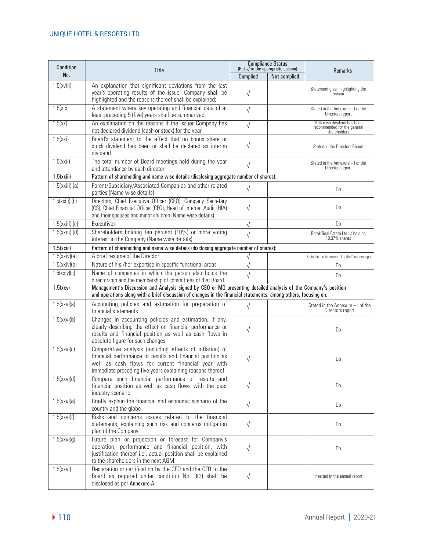| <b>Condition</b> | <b>Title</b>                                                                                                                                                                                                                              |            | <b>Compliance Status</b><br>(Put $\sqrt{}$ in the appropriate column) | <b>Remarks</b>                                                            |
|------------------|-------------------------------------------------------------------------------------------------------------------------------------------------------------------------------------------------------------------------------------------|------------|-----------------------------------------------------------------------|---------------------------------------------------------------------------|
| No.              |                                                                                                                                                                                                                                           | Complied   | Not complied                                                          |                                                                           |
| 1.5(xviii)       | An explanation that significant deviations from the last<br>year's operating results of the issuer Company shall be<br>highlighted and the reasons thereof shall be explained;                                                            | $\sqrt{}$  |                                                                       | Statement given highlighting the<br>reason                                |
| 1.5(xix)         | A statement where key operating and financial data of at<br>least preceding 5 (five) years shall be summarized.                                                                                                                           | $\sqrt{}$  |                                                                       | Stated in the Annexure - I of the<br>Directors report                     |
| 1.5(xx)          | An explanation on the reasons if the issuer Company has<br>not declared dividend (cash or stock) for the year                                                                                                                             | $\sqrt{}$  |                                                                       | 10% cash dividend has been<br>recommended for the general<br>shareholders |
| 1.5(xxi)         | Board's statement to the effect that no bonus share or<br>stock dividend has been or shall be declared as interim<br>dividend                                                                                                             | √          |                                                                       | Stated in the Directors Report                                            |
| 1.5(xxii)        | The total number of Board meetings held during the year<br>and attendance by each director                                                                                                                                                | $\sqrt{}$  |                                                                       | Stated in the Annexure - I of the<br>Directors report                     |
| 1.5(xxiii)       | Pattern of shareholding and name wise details (disclosing aggregate number of shares):                                                                                                                                                    |            |                                                                       |                                                                           |
| $1.5(xxiii)$ (a) | Parent/Subsidiary/Associated Companies and other related<br>parties (Name wise details)                                                                                                                                                   | $\sqrt{}$  |                                                                       | Do                                                                        |
| $1.5(xxiii)$ (b) | Directors, Chief Executive Officer (CEO), Company Secretary<br>(CS), Chief Financial Officer (CFO), Head of Internal Audit (HIA)<br>and their spouses and minor children (Name wise details)                                              | $\sqrt{}$  |                                                                       | Do                                                                        |
| $1.5(xxiii)$ (c) | Executives                                                                                                                                                                                                                                | $\sqrt{}$  |                                                                       | Do                                                                        |
| $1.5(xxiii)$ (d) | Shareholders holding ten percent (10%) or more voting<br>interest in the Company (Name wise details)                                                                                                                                      | $\sqrt{ }$ |                                                                       | Borak Real Estate Ltd. is holding<br>19.37% shares                        |
| 1.5(xxiii)       | Pattern of shareholding and name wise details (disclosing aggregate number of shares):                                                                                                                                                    |            |                                                                       |                                                                           |
| 1.5(xxiv)(a)     | A brief resume of the Director                                                                                                                                                                                                            | √          |                                                                       | Stated in the Annexure - I of the Directors report                        |
| 1.5(xxiv)(b)     | Nature of his /her expertise in specific functional areas                                                                                                                                                                                 | $\sqrt{}$  |                                                                       | D <sub>0</sub>                                                            |
| 1.5(xxiv)(c)     | Name of companies in which the person also holds the<br>directorship and the membership of committees of that Board.                                                                                                                      | $\sqrt{ }$ |                                                                       | Do                                                                        |
| 1.5(xxy)         | Management's Discussion and Analysis signed by CEO or MD presenting detailed analysis of the Company's position<br>and operations along with a brief discussion of changes in the financial statements, among others, focusing on:        |            |                                                                       |                                                                           |
| $1.5$ (xxv)(a)   | Accounting policies and estimation for preparation of<br>financial statements                                                                                                                                                             | $\sqrt{ }$ |                                                                       | Stated in the Annexure - I of the<br>Directors report                     |
| 1.5(xxv)(b)      | Changes in accounting policies and estimation, if any,<br>clearly describing the effect on financial performance or<br>results and financial position as well as cash flows in<br>absolute figure for such changes                        | $\sqrt{}$  |                                                                       | Do                                                                        |
| $1.5$ (xxv)(c)   | Comparative analysis (including effects of inflation) of<br>financial performance or results and financial position as<br>well as cash flows for current financial year with<br>immediate preceding five years explaining reasons thereof | $\sqrt{}$  |                                                                       | Do                                                                        |
| 1.5(xxv)(d)      | Compare such financial performance or results and<br>financial position as well as cash flows with the peer<br>industry scenario                                                                                                          | $\sqrt{}$  |                                                                       | D <sub>o</sub>                                                            |
| $1.5$ (xxv)(e)   | Briefly explain the financial and economic scenario of the<br>country and the globe                                                                                                                                                       | $\sqrt{ }$ |                                                                       | D <sub>0</sub>                                                            |
| $1.5$ (xxv)(f)   | Risks and concerns issues related to the financial<br>statements, explaining such risk and concerns mitigation<br>plan of the Company                                                                                                     | $\sqrt{ }$ |                                                                       | Do                                                                        |
| 1.5(xxv)(g)      | Future plan or projection or forecast for Company's<br>operation, performance and financial position, with<br>justification thereof i.e., actual position shall be explained<br>to the shareholders in the next AGM                       | $\sqrt{}$  |                                                                       | Do                                                                        |
| 1.5(xxvi)        | Declaration or certification by the CEO and the CFO to the<br>Board as required under condition No. 3(3) shall be<br>disclosed as per Annexure-A                                                                                          | $\sqrt{}$  |                                                                       | Inserted in the annual report                                             |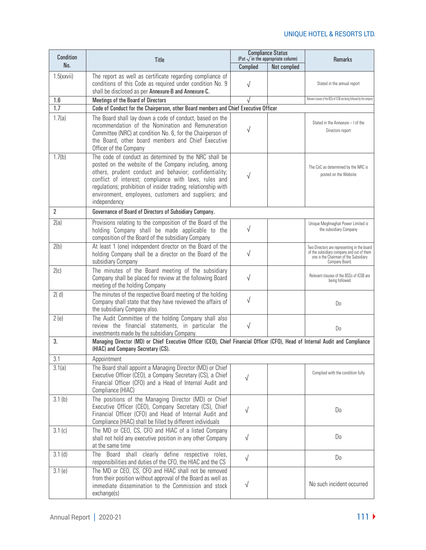| Condition      | Title                                                                                                                                                                                                                                                                                                                                                                       | <b>Compliance Status</b><br>(Put $\sqrt{}$ in the appropriate column) |              | <b>Remarks</b>                                                                                                                                      |
|----------------|-----------------------------------------------------------------------------------------------------------------------------------------------------------------------------------------------------------------------------------------------------------------------------------------------------------------------------------------------------------------------------|-----------------------------------------------------------------------|--------------|-----------------------------------------------------------------------------------------------------------------------------------------------------|
| No.            |                                                                                                                                                                                                                                                                                                                                                                             | Complied                                                              | Not complied |                                                                                                                                                     |
| 1.5(xxvii)     | The report as well as certificate regarding compliance of<br>conditions of this Code as required under condition No. 9<br>shall be disclosed as per Annexure-B and Annexure-C.                                                                                                                                                                                              | $\sqrt{}$                                                             |              | Stated in the annual report                                                                                                                         |
| 1.6            | Meetings of the Board of Directors                                                                                                                                                                                                                                                                                                                                          |                                                                       |              | Relevant clauses of the BSSs of ICSB are being followed by the compan                                                                               |
| 1.7            | Code of Conduct for the Chairperson, other Board members and Chief Executive Officer                                                                                                                                                                                                                                                                                        |                                                                       |              |                                                                                                                                                     |
| 1.7(a)         | The Board shall lay down a code of conduct, based on the<br>recommendation of the Nomination and Remuneration<br>Committee (NRC) at condition No. 6, for the Chairperson of<br>the Board, other board members and Chief Executive<br>Officer of the Company                                                                                                                 |                                                                       |              | Stated in the Annexure - I of the<br>Directors report                                                                                               |
| 1.7(b)         | The code of conduct as determined by the NRC shall be<br>posted on the website of the Company including, among<br>others, prudent conduct and behavior; confidentiality;<br>conflict of interest; compliance with laws, rules and<br>regulations; prohibition of insider trading; relationship with<br>environment, employees, customers and suppliers; and<br>independency |                                                                       |              | The CoC as determined by the NRC is<br>posted on the Website                                                                                        |
| $\overline{2}$ | Governance of Board of Directors of Subsidiary Company.                                                                                                                                                                                                                                                                                                                     |                                                                       |              |                                                                                                                                                     |
| 2(a)           | Provisions relating to the composition of the Board of the<br>holding Company shall be made applicable to the<br>composition of the Board of the subsidiary Company                                                                                                                                                                                                         | $\sqrt{}$                                                             |              | Unique Meghnaghat Power Limited is<br>the subsidiary Company                                                                                        |
| 2(b)           | At least 1 (one) independent director on the Board of the<br>holding Company shall be a director on the Board of the<br>subsidiary Company                                                                                                                                                                                                                                  | $\sqrt{}$                                                             |              | Two Directors are representing in the board<br>of the subsidiary company and out of them<br>one is the Chairman of the Subsidiary<br>Company Board. |
| 2(c)           | The minutes of the Board meeting of the subsidiary<br>Company shall be placed for review at the following Board<br>meeting of the holding Company                                                                                                                                                                                                                           | $\sqrt{}$                                                             |              | Relevant clauses of the BSSs of ICSB are<br>being followed                                                                                          |
| 2(d)           | The minutes of the respective Board meeting of the holding<br>Company shall state that they have reviewed the affairs of<br>the subsidiary Company also.                                                                                                                                                                                                                    | $\sqrt{ }$                                                            |              | Do                                                                                                                                                  |
| 2(e)           | The Audit Committee of the holding Company shall also<br>review the financial statements, in particular the<br>investments made by the subsidiary Company.                                                                                                                                                                                                                  | $\sqrt{}$                                                             |              | Do                                                                                                                                                  |
| 3.             | Managing Director (MD) or Chief Executive Officer (CEO), Chief Financial Officer (CFO), Head of Internal Audit and Compliance<br>(HIAC) and Company Secretary (CS).                                                                                                                                                                                                         |                                                                       |              |                                                                                                                                                     |
| 3.1            | Appointment                                                                                                                                                                                                                                                                                                                                                                 |                                                                       |              |                                                                                                                                                     |
| 3.1(a)         | The Board shall appoint a Managing Director (MD) or Chief<br>Executive Officer (CEO), a Company Secretary (CS), a Chief<br>Financial Officer (CFO) and a Head of Internal Audit and<br>Compliance (HIAC)                                                                                                                                                                    | $\sqrt{}$                                                             |              | Complied with the condition fully                                                                                                                   |
| 3.1(b)         | The positions of the Managing Director (MD) or Chief<br>Executive Officer (CEO), Company Secretary (CS), Chief<br>Financial Officer (CFO) and Head of Internal Audit and<br>Compliance (HIAC) shall be filled by different individuals                                                                                                                                      | √                                                                     |              | Do                                                                                                                                                  |
| 3.1(c)         | The MD or CEO, CS, CFO and HIAC of a listed Company<br>shall not hold any executive position in any other Company<br>at the same time                                                                                                                                                                                                                                       | $\sqrt{}$                                                             |              | Do                                                                                                                                                  |
| $3.1$ (d)      | Board shall clearly define respective roles,<br>The<br>responsibilities and duties of the CFO, the HIAC and the CS                                                                                                                                                                                                                                                          | $\sqrt{}$                                                             |              | D <sub>0</sub>                                                                                                                                      |
| 3.1(e)         | The MD or CEO, CS, CFO and HIAC shall not be removed<br>from their position without approval of the Board as well as<br>immediate dissemination to the Commission and stock<br>exchange(s)                                                                                                                                                                                  | √                                                                     |              | No such incident occurred                                                                                                                           |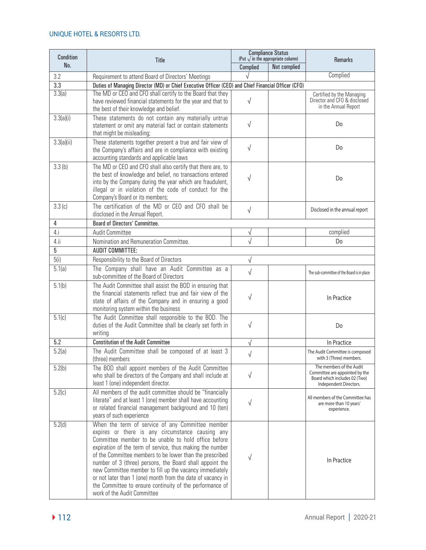| Condition           | Title                                                                                                                                                                                                                                                                                                                                                                                                                                                                                                                                                                 | <b>Compliance Status</b><br>(Put $\sqrt{ }$ in the appropriate column) |              | <b>Remarks</b>                                                                                                        |
|---------------------|-----------------------------------------------------------------------------------------------------------------------------------------------------------------------------------------------------------------------------------------------------------------------------------------------------------------------------------------------------------------------------------------------------------------------------------------------------------------------------------------------------------------------------------------------------------------------|------------------------------------------------------------------------|--------------|-----------------------------------------------------------------------------------------------------------------------|
| No.                 |                                                                                                                                                                                                                                                                                                                                                                                                                                                                                                                                                                       | Complied                                                               | Not complied |                                                                                                                       |
| 3.2                 | Requirement to attend Board of Directors' Meetings                                                                                                                                                                                                                                                                                                                                                                                                                                                                                                                    | $\sqrt{ }$                                                             |              | Complied                                                                                                              |
| 3.3                 | Duties of Managing Director (MD) or Chief Executive Officer (CEO) and Chief Financial Officer (CFO)                                                                                                                                                                                                                                                                                                                                                                                                                                                                   |                                                                        |              |                                                                                                                       |
| 3.3(a)              | The MD or CEO and CFO shall certify to the Board that they<br>have reviewed financial statements for the year and that to<br>the best of their knowledge and belief.                                                                                                                                                                                                                                                                                                                                                                                                  | $\sqrt{}$                                                              |              | Certified by the Managing<br>Director and CFO & disclosed<br>in the Annual Report                                     |
| 3.3(a)(i)           | These statements do not contain any materially untrue<br>statement or omit any material fact or contain statements<br>that might be misleading;                                                                                                                                                                                                                                                                                                                                                                                                                       | $\sqrt{ }$                                                             |              | Do                                                                                                                    |
| 3.3(a)(ii)          | These statements together present a true and fair view of<br>the Company's affairs and are in compliance with existing<br>accounting standards and applicable laws                                                                                                                                                                                                                                                                                                                                                                                                    | $\sqrt{}$                                                              |              | Do                                                                                                                    |
| 3.3(b)              | The MD or CEO and CFO shall also certify that there are, to<br>the best of knowledge and belief, no transactions entered<br>into by the Company during the year which are fraudulent,<br>illegal or in violation of the code of conduct for the<br>Company's Board or its members;                                                                                                                                                                                                                                                                                    | $\sqrt{}$                                                              |              | Do                                                                                                                    |
| 3.3(c)              | The certification of the MD or CEO and CFO shall be<br>disclosed in the Annual Report.                                                                                                                                                                                                                                                                                                                                                                                                                                                                                | $\sqrt{}$                                                              |              | Disclosed in the annual report                                                                                        |
| 4                   | <b>Board of Directors' Committee.</b>                                                                                                                                                                                                                                                                                                                                                                                                                                                                                                                                 |                                                                        |              |                                                                                                                       |
| 4.i                 | <b>Audit Committee</b>                                                                                                                                                                                                                                                                                                                                                                                                                                                                                                                                                | √                                                                      |              | complied                                                                                                              |
| 4.ii                | Nomination and Remuneration Committee.                                                                                                                                                                                                                                                                                                                                                                                                                                                                                                                                | $\sqrt{ }$                                                             |              | Do                                                                                                                    |
| 5                   | <b>AUDIT COMMITTEE:</b>                                                                                                                                                                                                                                                                                                                                                                                                                                                                                                                                               |                                                                        |              |                                                                                                                       |
| 5(i)                | Responsibility to the Board of Directors                                                                                                                                                                                                                                                                                                                                                                                                                                                                                                                              | $\sqrt{}$                                                              |              |                                                                                                                       |
| $\overline{5.1(a)}$ | The Company shall have an Audit Committee as a<br>sub-committee of the Board of Directors                                                                                                                                                                                                                                                                                                                                                                                                                                                                             | $\sqrt{}$                                                              |              | The sub-committee of the Board is in place                                                                            |
| 5.1(b)              | The Audit Committee shall assist the BOD in ensuring that<br>the financial statements reflect true and fair view of the<br>state of affairs of the Company and in ensuring a good<br>monitoring system within the business                                                                                                                                                                                                                                                                                                                                            | $\sqrt{}$                                                              |              | In Practice                                                                                                           |
| 5.1(c)              | The Audit Committee shall responsible to the BOD. The<br>duties of the Audit Committee shall be clearly set forth in<br>writing                                                                                                                                                                                                                                                                                                                                                                                                                                       | $\sqrt{}$                                                              |              | Do                                                                                                                    |
| 5.2                 | <b>Constitution of the Audit Committee</b>                                                                                                                                                                                                                                                                                                                                                                                                                                                                                                                            | $\sqrt{}$                                                              |              | In Practice                                                                                                           |
| 5.2(a)              | The Audit Committee shall be composed of at least 3<br>(three) members                                                                                                                                                                                                                                                                                                                                                                                                                                                                                                | $\sqrt{\phantom{a}}$                                                   |              | The Audit Committee is composed<br>with 3 (Three) members.                                                            |
| 5.2(b)              | The BOD shall appoint members of the Audit Committee<br>who shall be directors of the Company and shall include at<br>least 1 (one) independent director.                                                                                                                                                                                                                                                                                                                                                                                                             | $\sqrt{}$                                                              |              | The members of the Audit<br>Committee are appointed by the<br>Board which includes 02 (Two)<br>Independent Directors. |
| 5.2(c)              | All members of the audit committee should be "financially<br>literate" and at least 1 (one) member shall have accounting<br>or related financial management background and 10 (ten)<br>years of such experience                                                                                                                                                                                                                                                                                                                                                       | $\sqrt{}$                                                              |              | All members of the Committee has<br>are more than 10 years'<br>experience.                                            |
| 5.2(d)              | When the term of service of any Committee member<br>expires or there is any circumstance causing any<br>Committee member to be unable to hold office before<br>expiration of the term of service, thus making the number<br>of the Committee members to be lower than the prescribed<br>number of 3 (three) persons, the Board shall appoint the<br>new Committee member to fill up the vacancy immediately<br>or not later than 1 (one) month from the date of vacancy in<br>the Committee to ensure continuity of the performance of<br>work of the Audit Committee | V                                                                      |              | In Practice                                                                                                           |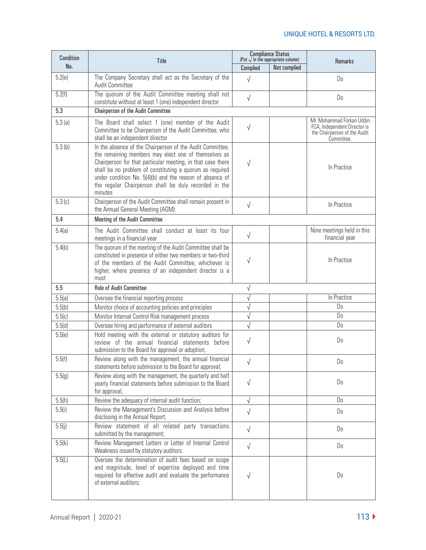| Condition | Title                                                                                                                                                                                                                                                                                                                                                                        | <b>Compliance Status</b><br>(Put $\sqrt{ }$ in the appropriate column) |              | <b>Remarks</b>                                                                                          |
|-----------|------------------------------------------------------------------------------------------------------------------------------------------------------------------------------------------------------------------------------------------------------------------------------------------------------------------------------------------------------------------------------|------------------------------------------------------------------------|--------------|---------------------------------------------------------------------------------------------------------|
| No.       |                                                                                                                                                                                                                                                                                                                                                                              | Complied                                                               | Not complied |                                                                                                         |
| 5.2(e)    | The Company Secretary shall act as the Secretary of the<br><b>Audit Committee</b>                                                                                                                                                                                                                                                                                            | $\sqrt{2}$                                                             |              | D <sub>0</sub>                                                                                          |
| 5.2(f)    | The quorum of the Audit Committee meeting shall not<br>constitute without at least 1 (one) independent director                                                                                                                                                                                                                                                              | $\sqrt{ }$                                                             |              | D <sub>0</sub>                                                                                          |
| 5.3       | <b>Chairperson of the Audit Committee</b>                                                                                                                                                                                                                                                                                                                                    |                                                                        |              |                                                                                                         |
| 5.3(a)    | The Board shall select 1 (one) member of the Audit<br>Committee to be Chairperson of the Audit Committee, who<br>shall be an independent director                                                                                                                                                                                                                            | $\sqrt{}$                                                              |              | Mr. Mohammad Forkan Uddin<br>FCA, Independent Director is<br>the Chairperson of the Audit<br>Committee. |
| 5.3(b)    | In the absence of the Chairperson of the Audit Committee,<br>the remaining members may elect one of themselves as<br>Chairperson for that particular meeting, in that case there<br>shall be no problem of constituting a quorum as required<br>under condition No. 5(4)(b) and the reason of absence of<br>the regular Chairperson shall be duly recorded in the<br>minutes | $\sqrt{}$                                                              |              | In Practice                                                                                             |
| 5.3(c)    | Chairperson of the Audit Committee shall remain present in<br>the Annual General Meeting (AGM):                                                                                                                                                                                                                                                                              | $\sqrt{ }$                                                             |              | In Practice                                                                                             |
| 5.4       | Meeting of the Audit Committee                                                                                                                                                                                                                                                                                                                                               |                                                                        |              |                                                                                                         |
| 5.4(a)    | The Audit Committee shall conduct at least its four<br>meetings in a financial year                                                                                                                                                                                                                                                                                          | $\sqrt{ }$                                                             |              | Nine meetings held in this<br>financial year                                                            |
| 5.4(b)    | The quorum of the meeting of the Audit Committee shall be<br>constituted in presence of either two members or two-third<br>of the members of the Audit Committee, whichever is<br>higher, where presence of an independent director is a<br>must                                                                                                                             | $\sqrt{}$                                                              |              | In Practice                                                                                             |
| 5.5       | Role of Audit Committee                                                                                                                                                                                                                                                                                                                                                      | $\sqrt{}$                                                              |              |                                                                                                         |
| 5.5(a)    | Oversee the financial reporting process                                                                                                                                                                                                                                                                                                                                      | √                                                                      |              | In Practice                                                                                             |
| 5.5(b)    | Monitor choice of accounting policies and principles                                                                                                                                                                                                                                                                                                                         | $\sqrt{}$                                                              |              | D <sub>0</sub>                                                                                          |
| 5.5(c)    | Monitor Internal Control Risk management process                                                                                                                                                                                                                                                                                                                             | $\sqrt{}$                                                              |              | D <sub>0</sub>                                                                                          |
| 5.5(d)    | Oversee hiring and performance of external auditors                                                                                                                                                                                                                                                                                                                          | $\sqrt{}$                                                              |              | D <sub>0</sub>                                                                                          |
| 5.5(e)    | Hold meeting with the external or statutory auditors for<br>review of the annual financial statements before<br>submission to the Board for approval or adoption;                                                                                                                                                                                                            | $\sqrt{}$                                                              |              | Do                                                                                                      |
| 5.5(f)    | Review along with the management, the annual financial<br>statements before submission to the Board for approval;                                                                                                                                                                                                                                                            | $\sqrt{}$                                                              |              | Do                                                                                                      |
| 5.5(g)    | Review along with the management, the quarterly and half<br>yearly financial statements before submission to the Board<br>for approval;                                                                                                                                                                                                                                      | $\sqrt{}$                                                              |              | D <sub>0</sub>                                                                                          |
| 5.5(h)    | Review the adequacy of internal audit function;                                                                                                                                                                                                                                                                                                                              | $\sqrt{ }$                                                             |              | D <sub>0</sub>                                                                                          |
| 5.5(i)    | Review the Management's Discussion and Analysis before<br>disclosing in the Annual Report;                                                                                                                                                                                                                                                                                   | $\sqrt{ }$                                                             |              | D <sub>0</sub>                                                                                          |
| 5.5(j)    | Review statement of all related party transactions<br>submitted by the management;                                                                                                                                                                                                                                                                                           | $\sqrt{ }$                                                             |              | D <sub>0</sub>                                                                                          |
| 5.5(k)    | Review Management Letters or Letter of Internal Control<br>Weakness issued by statutory auditors.                                                                                                                                                                                                                                                                            | $\sqrt{ }$                                                             |              | D <sub>0</sub>                                                                                          |
| 5.5(L)    | Oversee the determination of audit fees based on scope<br>and magnitude, level of expertise deployed and time<br>required for effective audit and evaluate the performance<br>of external auditors;                                                                                                                                                                          | $\sqrt{}$                                                              |              | D <sub>0</sub>                                                                                          |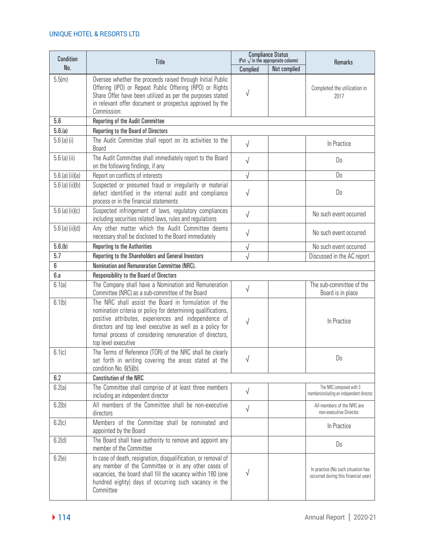| Condition         | Title                                                                                                                                                                                                                                                                                                                         | <b>Compliance Status</b><br>(Put $\sqrt{ }$ in the appropriate column) |              | <b>Remarks</b>                                                             |
|-------------------|-------------------------------------------------------------------------------------------------------------------------------------------------------------------------------------------------------------------------------------------------------------------------------------------------------------------------------|------------------------------------------------------------------------|--------------|----------------------------------------------------------------------------|
| No.               |                                                                                                                                                                                                                                                                                                                               | Complied                                                               | Not complied |                                                                            |
| 5.5(m)            | Oversee whether the proceeds raised through Initial Public<br>Offering (IPO) or Repeat Public Offering (RPO) or Rights<br>Share Offer have been utilized as per the purposes stated<br>in relevant offer document or prospectus approved by the<br>Commission:                                                                | $\sqrt{}$                                                              |              | Completed the utilization in<br>2017                                       |
| 5.6               | Reporting of the Audit Committee                                                                                                                                                                                                                                                                                              |                                                                        |              |                                                                            |
| 5.6(a)            | Reporting to the Board of Directors                                                                                                                                                                                                                                                                                           |                                                                        |              |                                                                            |
| $5.6$ (a) (i)     | The Audit Committee shall report on its activities to the<br><b>Board</b>                                                                                                                                                                                                                                                     | $\sqrt{}$                                                              |              | In Practice                                                                |
| $5.6$ (a) (ii)    | The Audit Committee shall immediately report to the Board<br>on the following findings, if any                                                                                                                                                                                                                                | $\sqrt{}$                                                              |              | Do                                                                         |
| $5.6$ (a) (ii)(a) | Report on conflicts of interests                                                                                                                                                                                                                                                                                              | $\sqrt{}$                                                              |              | D <sub>0</sub>                                                             |
| $5.6$ (a) (ii)(b) | Suspected or presumed fraud or irregularity or material<br>defect identified in the internal audit and compliance<br>process or in the financial statements                                                                                                                                                                   | $\sqrt{}$                                                              |              | D <sub>0</sub>                                                             |
| $5.6$ (a) (ii)(c) | Suspected infringement of laws, regulatory compliances<br>including securities related laws, rules and regulations                                                                                                                                                                                                            | $\sqrt{}$                                                              |              | No such event occurred                                                     |
| 5.6 (a) (ii)(d)   | Any other matter which the Audit Committee deems<br>necessary shall be disclosed to the Board immediately                                                                                                                                                                                                                     | $\sqrt{}$                                                              |              | No such event occurred                                                     |
| 5.6(b)            | <b>Reporting to the Authorities</b>                                                                                                                                                                                                                                                                                           | V                                                                      |              | No such event occurred                                                     |
| 5.7               | Reporting to the Shareholders and General Investors                                                                                                                                                                                                                                                                           |                                                                        |              | Discussed in the AC report                                                 |
| 6                 | Nomination and Remuneration Committee (NRC).                                                                                                                                                                                                                                                                                  |                                                                        |              |                                                                            |
| 6.a               | Responsibility to the Board of Directors                                                                                                                                                                                                                                                                                      |                                                                        |              |                                                                            |
| 6.1(a)            | The Company shall have a Nomination and Remuneration<br>Committee (NRC) as a sub-committee of the Board                                                                                                                                                                                                                       | $\sqrt{}$                                                              |              | The sub-committee of the<br>Board is in place                              |
| 6.1(b)            | The NRC shall assist the Board in formulation of the<br>nomination criteria or policy for determining qualifications,<br>positive attributes, experiences and independence of<br>directors and top level executive as well as a policy for<br>formal process of considering remuneration of directors,<br>top level executive | $\sqrt{}$                                                              |              | In Practice                                                                |
| 6.1(c)            | The Terms of Reference (TOR) of the NRC shall be clearly<br>set forth in writing covering the areas stated at the<br>condition No. 6(5)(b).                                                                                                                                                                                   | √                                                                      |              | Do                                                                         |
| 6.2               | <b>Constitution of the NRC</b>                                                                                                                                                                                                                                                                                                |                                                                        |              |                                                                            |
| 6.2(a)            | The Committee shall comprise of at least three members<br>including an independent director                                                                                                                                                                                                                                   | $\sqrt{}$                                                              |              | The NRC composed with 3<br>membersincluding an independent director.       |
| 6.2(b)            | All members of the Committee shall be non-executive<br>directors                                                                                                                                                                                                                                                              | $\sqrt{}$                                                              |              | All members of the NRC are<br>non-executive Director.                      |
| 6.2(c)            | Members of the Committee shall be nominated and<br>appointed by the Board                                                                                                                                                                                                                                                     |                                                                        |              | In Practice                                                                |
| 6.2(d)            | The Board shall have authority to remove and appoint any<br>member of the Committee                                                                                                                                                                                                                                           |                                                                        |              | Do                                                                         |
| 6.2(e)            | In case of death, resignation, disqualification, or removal of<br>any member of the Committee or in any other cases of<br>vacancies, the board shall fill the vacancy within 180 (one<br>hundred eighty) days of occurring such vacancy in the<br>Committee                                                                   | V                                                                      |              | In practice (No such situation has<br>occurred during this financial year) |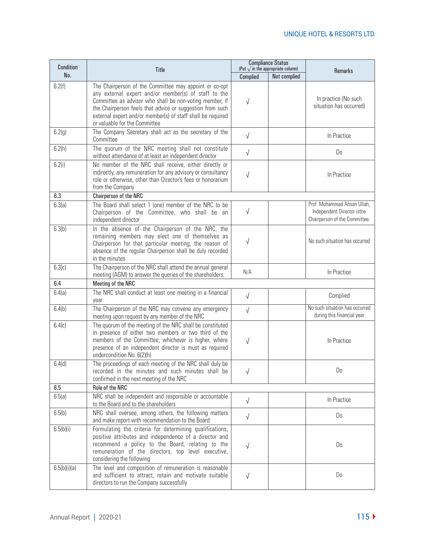| Condition    | Title                                                                                                                                                                                                                                                                                                                                  | <b>Compliance Status</b><br>(Put $\sqrt{ }$ in the appropriate column) |              |                                                                                            |
|--------------|----------------------------------------------------------------------------------------------------------------------------------------------------------------------------------------------------------------------------------------------------------------------------------------------------------------------------------------|------------------------------------------------------------------------|--------------|--------------------------------------------------------------------------------------------|
| No.          |                                                                                                                                                                                                                                                                                                                                        | Complied                                                               | Not complied | <b>Remarks</b>                                                                             |
| 6.2(f)       | The Chairperson of the Committee may appoint or co-opt<br>any external expert and/or member(s) of staff to the<br>Committee as advisor who shall be non-voting member, if<br>the Chairperson feels that advice or suggestion from such<br>external expert and/or member(s) of staff shall be required<br>or valuable for the Committee | $\sqrt{}$                                                              |              | In practice (No such<br>situation has occurred)                                            |
| 6.2(g)       | The Company Secretary shall act as the secretary of the<br>Committee                                                                                                                                                                                                                                                                   | $\sqrt{}$                                                              |              | In Practice                                                                                |
| 6.2(h)       | The quorum of the NRC meeting shall not constitute<br>without attendance of at least an independent director                                                                                                                                                                                                                           | $\sqrt{2}$                                                             |              | Do                                                                                         |
| 6.2(i)       | No member of the NRC shall receive, either directly or<br>indirectly, any remuneration for any advisory or consultancy<br>role or otherwise, other than Director's fees or honorarium<br>from the Company                                                                                                                              | $\sqrt{}$                                                              |              | In Practice                                                                                |
| 6.3          | Chairperson of the NRC                                                                                                                                                                                                                                                                                                                 |                                                                        |              |                                                                                            |
| 6.3(a)       | The Board shall select 1 (one) member of the NRC to be<br>Chairperson of the Committee, who shall be an<br>independent director                                                                                                                                                                                                        | $\sqrt{}$                                                              |              | Prof. Mohammad Ahsan Ullah,<br>Independent Director isthe<br>Chairperson of the Committee. |
| 6.3(b)       | In the absence of the Chairperson of the NRC, the<br>remaining members may elect one of themselves as<br>Chairperson for that particular meeting, the reason of<br>absence of the regular Chairperson shall be duly recorded<br>in the minutes                                                                                         | $\sqrt{}$                                                              |              | No such situation has occurred                                                             |
| 6.3(c)       | The Chairperson of the NRC shall attend the annual general<br>meeting (AGM) to answer the queries of the shareholders:                                                                                                                                                                                                                 | N/A                                                                    |              | In Practice                                                                                |
| 6.4          | Meeting of the NRC                                                                                                                                                                                                                                                                                                                     |                                                                        |              |                                                                                            |
| 6.4(a)       | The NRC shall conduct at least one meeting in a financial<br>year                                                                                                                                                                                                                                                                      | $\sqrt{}$                                                              |              | Complied                                                                                   |
| 6.4(b)       | The Chairperson of the NRC may convene any emergency<br>meeting upon request by any member of the NRC                                                                                                                                                                                                                                  | $\sqrt{ }$                                                             |              | No such situation has occurred<br>during this financial year                               |
| 6.4(c)       | The quorum of the meeting of the NRC shall be constituted<br>in presence of either two members or two third of the<br>members of the Committee, whichever is higher, where<br>presence of an independent director is must as required<br>undercondition No. 6(2)(h)                                                                    | √                                                                      |              | In Practice                                                                                |
| 6.4(d)       | The proceedings of each meeting of the NRC shall duly be<br>recorded in the minutes and such minutes shall be<br>confirmed in the next meeting of the NRC                                                                                                                                                                              |                                                                        |              | Do.                                                                                        |
| 6.5          | Role of the NRC                                                                                                                                                                                                                                                                                                                        |                                                                        |              |                                                                                            |
| 6.5(a)       | NRC shall be independent and responsible or accountable<br>to the Board and to the shareholders                                                                                                                                                                                                                                        | $\sqrt{ }$                                                             |              | In Practice                                                                                |
| 6.5(b)       | NRC shall oversee, among others, the following matters<br>and make report with recommendation to the Board:                                                                                                                                                                                                                            | $\sqrt{}$                                                              |              | Do                                                                                         |
| 6.5(b)(i)    | Formulating the criteria for determining qualifications,<br>positive attributes and independence of a director and<br>recommend a policy to the Board, relating to the<br>remuneration of the directors, top level executive,<br>considering the following                                                                             | $\sqrt{}$                                                              |              | Do                                                                                         |
| 6.5(b)(i)(a) | The level and composition of remuneration is reasonable<br>and sufficient to attract, retain and motivate suitable<br>directors to run the Company successfully                                                                                                                                                                        | $\sqrt{}$                                                              |              | D <sub>0</sub>                                                                             |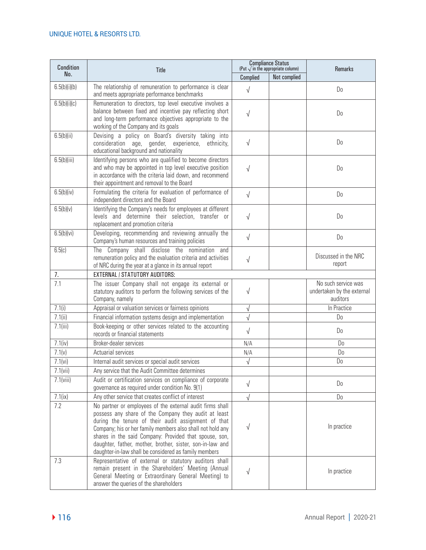| Condition    | Title                                                                                                                                                                                                                                                                                                                                                                                                                  | <b>Compliance Status</b><br>(Put $\sqrt{}$ in the appropriate column) |              | Remarks                                                       |
|--------------|------------------------------------------------------------------------------------------------------------------------------------------------------------------------------------------------------------------------------------------------------------------------------------------------------------------------------------------------------------------------------------------------------------------------|-----------------------------------------------------------------------|--------------|---------------------------------------------------------------|
| No.          |                                                                                                                                                                                                                                                                                                                                                                                                                        | Complied                                                              | Not complied |                                                               |
| 6.5(b)(i)(b) | The relationship of remuneration to performance is clear<br>and meets appropriate performance benchmarks                                                                                                                                                                                                                                                                                                               | $\sqrt{}$                                                             |              | Do                                                            |
| 6.5(b)(i)(c) | Remuneration to directors, top level executive involves a<br>balance between fixed and incentive pay reflecting short<br>and long-term performance objectives appropriate to the<br>working of the Company and its goals                                                                                                                                                                                               | $\sqrt{}$                                                             |              | Do                                                            |
| 6.5(b)(ii)   | Devising a policy on Board's diversity taking into<br>consideration age, gender, experience, ethnicity,<br>educational background and nationality                                                                                                                                                                                                                                                                      | $\sqrt{}$                                                             |              | Do                                                            |
| 6.5(b)(iii)  | Identifying persons who are qualified to become directors<br>and who may be appointed in top level executive position<br>in accordance with the criteria laid down, and recommend<br>their appointment and removal to the Board                                                                                                                                                                                        | $\sqrt{2}$                                                            |              | Do                                                            |
| 6.5(b)(iv)   | Formulating the criteria for evaluation of performance of<br>independent directors and the Board                                                                                                                                                                                                                                                                                                                       | $\sqrt{ }$                                                            |              | Do                                                            |
| 6.5(b)(v)    | Identifying the Company's needs for employees at different<br>levels and determine their selection, transfer or<br>replacement and promotion criteria                                                                                                                                                                                                                                                                  | $\sqrt{ }$                                                            |              | Do                                                            |
| 6.5(b)(vi)   | Developing, recommending and reviewing annually the<br>Company's human resources and training policies                                                                                                                                                                                                                                                                                                                 | $\sqrt{ }$                                                            |              | Do                                                            |
| 6.5(c)       | The Company shall disclose the nomination<br>and<br>remuneration policy and the evaluation criteria and activities<br>of NRC during the year at a glance in its annual report                                                                                                                                                                                                                                          | $\sqrt{}$                                                             |              | Discussed in the NRC<br>report                                |
| 7.           | <b>EXTERNAL / STATUTORY AUDITORS:</b>                                                                                                                                                                                                                                                                                                                                                                                  |                                                                       |              |                                                               |
| 7.1          | The issuer Company shall not engage its external or<br>statutory auditors to perform the following services of the<br>Company, namely                                                                                                                                                                                                                                                                                  | $\sqrt{}$                                                             |              | No such service was<br>undertaken by the external<br>auditors |
| 7.1(i)       | Appraisal or valuation services or fairness opinions                                                                                                                                                                                                                                                                                                                                                                   | $\sqrt{}$                                                             |              | In Practice                                                   |
| 7.1(i)       | Financial information systems design and implementation                                                                                                                                                                                                                                                                                                                                                                | $\sqrt{}$                                                             |              | D <sub>0</sub>                                                |
| 7.1(iii)     | Book-keeping or other services related to the accounting<br>records or financial statements                                                                                                                                                                                                                                                                                                                            | $\sqrt{}$                                                             |              | Do                                                            |
| 7.1(iv)      | Broker-dealer services                                                                                                                                                                                                                                                                                                                                                                                                 | N/A                                                                   |              | Do                                                            |
| 7.1(v)       | Actuarial services                                                                                                                                                                                                                                                                                                                                                                                                     | N/A                                                                   |              | Do                                                            |
| 7.1(vi)      | Internal audit services or special audit services                                                                                                                                                                                                                                                                                                                                                                      | $\sqrt{}$                                                             |              | Do                                                            |
| 7.1(vii)     | Any service that the Audit Committee determines                                                                                                                                                                                                                                                                                                                                                                        |                                                                       |              |                                                               |
| 7.1(viii)    | Audit or certification services on compliance of corporate<br>governance as required under condition No. 9(1)                                                                                                                                                                                                                                                                                                          | $\sqrt{ }$                                                            |              | Do                                                            |
| 7.1(ix)      | Any other service that creates conflict of interest                                                                                                                                                                                                                                                                                                                                                                    | $\sqrt{ }$                                                            |              | Do                                                            |
| 7.2          | No partner or employees of the external audit firms shall<br>possess any share of the Company they audit at least<br>during the tenure of their audit assignment of that<br>Company; his or her family members also shall not hold any<br>shares in the said Company: Provided that spouse, son,<br>daughter, father, mother, brother, sister, son-in-law and<br>daughter-in-law shall be considered as family members | $\sqrt{}$                                                             |              | In practice                                                   |
| 7.3          | Representative of external or statutory auditors shall<br>remain present in the Shareholders' Meeting (Annual<br>General Meeting or Extraordinary General Meeting) to<br>answer the queries of the shareholders                                                                                                                                                                                                        | $\sqrt{}$                                                             |              | In practice                                                   |